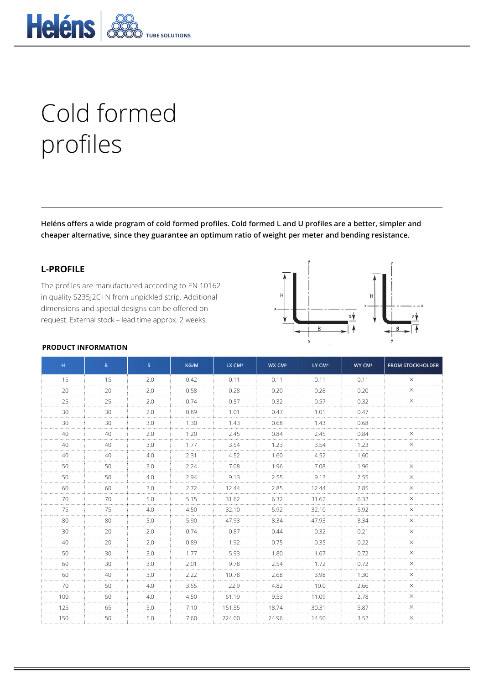

# Cold formed profiles

**Heléns offers a wide program of cold formed profiles. Cold formed L and U profiles are a better, simpler and cheaper alternative, since they guarantee an optimum ratio of weight per meter and bending resistance.**

# **L-PROFILE**

The profiles are manufactured according to EN 10162 in quality S235J2C+N from unpickled strip. Additional dimensions and special designs can be offered on request. External stock – lead time approx. 2 weeks.



#### **PRODUCT INFORMATION**

| H.  | B. | S   | KG/M | LX CM <sup>4</sup> | WX CM <sup>3</sup> | LY CM <sup>4</sup> | WY CM <sup>3</sup> | <b>FROM STOCKHOLDER</b> |
|-----|----|-----|------|--------------------|--------------------|--------------------|--------------------|-------------------------|
| 15  | 15 | 2.0 | 0.42 | 0.11               | 0.11               | 0.11               | 0.11               | $\times$                |
| 20  | 20 | 2.0 | 0.58 | 0.28               | 0.20               | 0.28               | 0.20               | $\times$                |
| 25  | 25 | 2.0 | 0.74 | 0.57               | 0.32               | 0.57               | 0.32               | ×                       |
| 30  | 30 | 2.0 | 0.89 | 1.01               | 0.47               | 1.01               | 0.47               |                         |
| 30  | 30 | 3.0 | 1.30 | 1.43               | 0.68               | 1.43               | 0.68               |                         |
| 40  | 40 | 2.0 | 1.20 | 2.45               | 0.84               | 2.45               | 0.84               | X                       |
| 40  | 40 | 3.0 | 1.77 | 3.54               | 1.23               | 3.54               | 1.23               | X                       |
| 40  | 40 | 4.0 | 2.31 | 4.52               | 1.60               | 4.52               | 1.60               |                         |
| 50  | 50 | 3.0 | 2.24 | 7.08               | 1.96               | 7.08               | 1.96               | ×                       |
| 50  | 50 | 4.0 | 2.94 | 9.13               | 2.55               | 9.13               | 2.55               | $\times$                |
| 60  | 60 | 3.0 | 2.72 | 12.44              | 2.85               | 12.44              | 2.85               |                         |
| 70  | 70 | 5.0 | 5.15 | 31.62              | 6.32               | 31.62              | 6.32               | X                       |
| 75  | 75 | 4.0 | 4.50 | 32.10              | 5.92               | 32.10              | 5.92               |                         |
| 80  | 80 | 5.0 | 5.90 | 47.93              | 8.34               | 47.93              | 8.34               | X                       |
| 30  | 20 | 2.0 | 0.74 | 0.87               | 0.44               | 0.32               | 0.21               |                         |
| 40  | 20 | 2.0 | 0.89 | 1.92               | 0.75               | 0.35               | 0.22               | X                       |
| 50  | 30 | 3.0 | 1.77 | 5.93               | 1.80               | 1.67               | 0.72               | ×                       |
| 60  | 30 | 3.0 | 2.01 | 9.78               | 2.54               | 1.72               | 0.72               | $\times$                |
| 60  | 40 | 3.0 | 2.22 | 10.78              | 2.68               | 3.98               | 1.30               | ×                       |
| 70  | 50 | 4.0 | 3.55 | 22.9               | 4.82               | 10.0               | 2.66               | $\times$                |
| 100 | 50 | 4.0 | 4.50 | 61.19              | 9.53               | 11.09              | 2.78               | ×                       |
| 125 | 65 | 5.0 | 7.10 | 151.55             | 18.74              | 30.31              | 5.87               | $\times$                |
| 150 | 50 | 5.0 | 7.60 | 224.00             | 24.96              | 14.50              | 3.52               | $\times$                |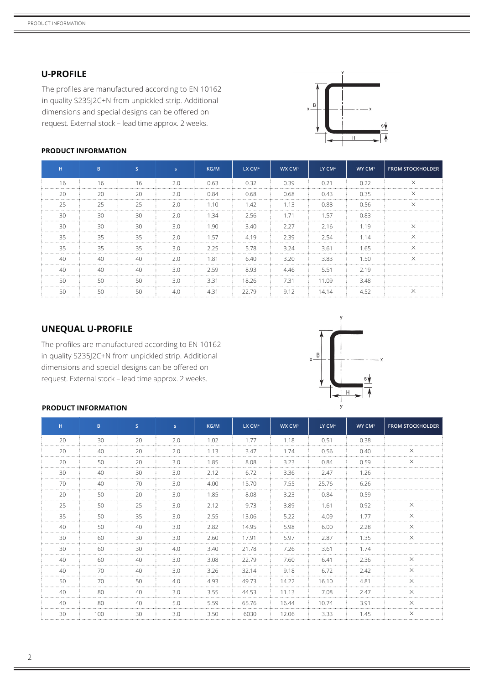## **U-PROFILE**

The profiles are manufactured according to EN 10162 in quality S235J2C+N from unpickled strip. Additional dimensions and special designs can be offered on request. External stock – lead time approx. 2 weeks.



# **H B S s KG/M LX CM<sup>4</sup> WX CM<sup>3</sup> LY CM<sup>4</sup> WY CM<sup>3</sup> FROM STOCKHOLDER** 16 | 16 | 16 | 2.0 | 0.63 | 0.32 | 0.39 | 0.21 | 0.22 | X 20 20 2.0 0.84 0.68 0.68 0.43 0.35 X 25 25 2.0 1.10 1.42 1.13 0.88 0.56 X 30 30 2.0 1.34 2.56 1.71 1.57 0.83 30 30 3.0 1.90 3.40 2.27 2.16 1.19 X 35 35 2.0 1.57 4.19 2.39 2.54 1.14 X 35 35 3.0 2.25 5.78 3.24 3.61 1.65 X 40 40 2.0 1.81 6.40 3.20 3.83 1.50 X 40 40 3.0 2.59 8.93 4.46 5.51 2.19

50 50 3.0 3.31 18.26 7.31 11.09 3.48

50 50 4.0 4.31 22.79 9.12 14.14 4.52 X

## **PRODUCT INFORMATION**

|  | <b>UNEQUAL U-PROFILE</b> |
|--|--------------------------|
|--|--------------------------|

The profiles are manufactured according to EN 10162 in quality S235J2C+N from unpickled strip. Additional dimensions and special designs can be offered on request. External stock – lead time approx. 2 weeks.



#### **PRODUCT INFORMATION**

| H  | B.  | S               | S.  | KG/M | LX CM <sup>4</sup> | WX CM <sup>3</sup> | LY CM <sup>4</sup> | WY CM <sup>3</sup> | <b>FROM STOCKHOLDER</b> |
|----|-----|-----------------|-----|------|--------------------|--------------------|--------------------|--------------------|-------------------------|
| 20 | 30  | 20              | 2.0 | 1.02 | 1.77               | 1.18               | 0.51               | 0.38               |                         |
| 20 | 40  | 20              | 2.0 | 1.13 | 3.47               | 1.74               | 0.56               | 0.40               | $\times$                |
| 20 | 50  | 20              | 3.0 | 1.85 | 8.08               | 3.23               | 0.84               | 0.59               | $\times$                |
| 30 | 40  | 30              | 3.0 | 2.12 | 6.72               | 3.36               | 2.47               | 1.26               |                         |
| 70 | 40  | 70              | 3.0 | 4.00 | 15.70              | 7.55               | 25.76              | 6.26               |                         |
| 20 | 50  | 20              | 3.0 | 1.85 | 8.08               | 3.23               | 0.84               | 0.59               |                         |
| 25 | 50  | 25              | 3.0 | 2.12 | 9.73               | 3.89               | 1.61               | 0.92               | $\times$                |
| 35 | 50  | 35              | 3.0 | 2.55 | 13.06              | 5.22               | 4.09               | 177                | X                       |
| 40 | 50  | 40              | 3.0 | 2.82 | 14.95              | 5.98               | 6.00               | 2.28               | ×                       |
| 30 | 60  | 30              | 3.0 | 2.60 | 17.91              | 5.97               | 2.87               | 1.35               | $\times$                |
| 30 | 60  | 30              | 4.0 | 3.40 | 21.78              | 7.26               | 3.61               | 174                |                         |
| 40 | 60  | 40              | 3.0 | 3.08 | 22.79              | 7.60               | 6.41               | 2.36               | $\times$                |
| 40 | 70  | 40 <sup>°</sup> | 3.0 | 3.26 | 32.14              | 9.18               | 6.72               | 7.42               | $\times$                |
| 50 | 70  | 50              | 4.0 | 4.93 | 49.73              | 14.22              | 16.10              | 4.81               | $\times$                |
| 40 | 80  | 40              | 3.0 | 3.55 | 44.53              | 11.13              | 7.08               | 2.47               | $\times$                |
| 40 | 80  | 40              | 5.0 | 5.59 | 65.76              | 16.44              | 10.74              | 3.91               | $\times$                |
| 30 | 100 | 30              | 3.0 | 3.50 | 6030               | 12.06              | 3.33               | 1.45               | $\times$                |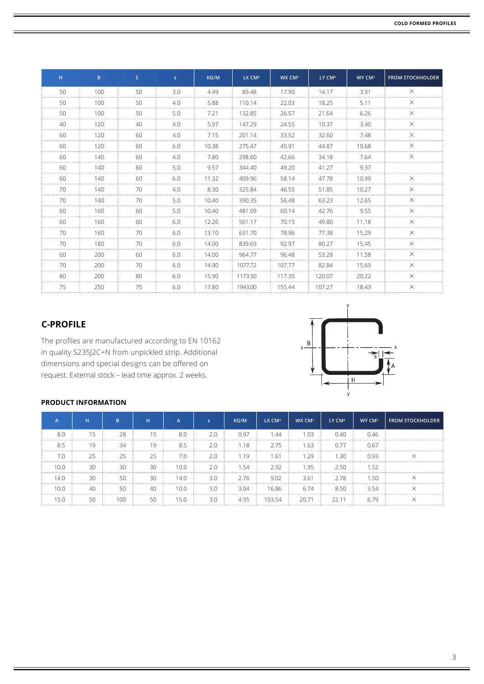| H  | B   | S. | s.  | KG/M  | LX CM <sup>4</sup> | WX CM <sup>3</sup> | LY CM <sup>4</sup> | WY CM <sup>3</sup> | <b>FROM STOCKHOLDER</b> |
|----|-----|----|-----|-------|--------------------|--------------------|--------------------|--------------------|-------------------------|
| 50 | 100 | 50 | 3.0 | 4.49  | 89.48              | 17.90              | 14.17              | 3.91               | $\times$                |
| 50 | 100 | 50 | 4.0 | 5.88  | 110.14             | 22.03              | 18.25              | 5.11               | X                       |
| 50 | 100 | 50 | 5.0 | 7.21  | 132.85             | 26.57              | 21.64              | 6.26               | $\times$                |
| 40 | 120 | 40 | 4.0 | 5.97  | 147.29             | 24.55              | 10.37              | 3.40               | $\times$                |
| 60 | 120 | 60 | 4.0 | 7.15  | 201.14             | 33.52              | 32.60              | 7.48               | $\times$                |
| 60 | 120 | 60 | 6.0 | 10.38 | 275.47             | 45.91              | 44.87              | 10.68              | ×                       |
| 60 | 140 | 60 | 4.0 | 7.80  | 298.60             | 42.66              | 34.18              | 7.64               | ×                       |
| 60 | 140 | 60 | 5.0 | 9.57  | 344.40             | 49.20              | 41.27              | 9.37               |                         |
| 60 | 140 | 60 | 6.0 | 11.32 | 409.96             | 58.14              | 47.78              | 10.99              | $\times$                |
| 70 | 140 | 70 | 4.0 | 8.30  | 325.84             | 46.55              | 51.85              | 10.27              | $\times$                |
| 70 | 140 | 70 | 5.0 | 10.40 | 390.35             | 56.48              | 63.23              | 12.65              | $\times$                |
| 60 | 160 | 60 | 5.0 | 10.40 | 481.09             | 60.14              | 42.76              | 9.55               | X                       |
| 60 | 160 | 60 | 6.0 | 12.26 | 561.17             | 70.15              | 49.80              | 11.18              | ×                       |
| 70 | 160 | 70 | 6.0 | 13.10 | 631.70             | 78.96              | 77.38              | 15.29              | $\times$                |
| 70 | 180 | 70 | 6.0 | 14.00 | 839.69             | 92.97              | 80.27              | 15.45              | $\times$                |
| 60 | 200 | 60 | 6.0 | 14.00 | 964.77             | 96.48              | 53.28              | 11.58              | $\times$                |
| 70 | 200 | 70 | 6.0 | 14.90 | 1077.72            | 107.77             | 82.84              | 15.69              | X                       |
| 80 | 200 | 80 | 6.0 | 15.90 | 1173.50            | 117.35             | 120.07             | 20.22              | X                       |
| 75 | 250 | 75 | 6.0 | 17.80 | 1943.00            | 155.44             | 107.27             | 18.43              | $\times$                |

# **C-PROFILE**

The profiles are manufactured according to EN 10162 in quality S235J2C+N from unpickled strip. Additional dimensions and special designs can be offered on request. External stock – lead time approx. 2 weeks.



## **PRODUCT INFORMATION**

|      | н            | R.    | н  | A    |     | KG/M | LX CM <sup>4</sup> | WX CM <sup>3</sup> | LY CM <sup>4</sup> | WY CM <sup>3</sup> | FROM STOCKHOLDER |
|------|--------------|-------|----|------|-----|------|--------------------|--------------------|--------------------|--------------------|------------------|
| 8.C  | 15           | 28    | 15 | 8.0  | 2.0 | 0.97 | 1.44               | 1.03               | 0.40               | 0.46               |                  |
| 8.5  | 19           | 34    | 10 | 8.5  | 2.0 | 1.18 | 2.75               | 1.63               | 0.77               | 0.67               |                  |
|      | 25           | 25    | 25 | 7.0  | 2.0 | 1.19 | $.6^{\circ}$       | .29                | -30                | 0.93               |                  |
| 10.0 | 30           | 30    | 30 | 10.0 | 2.0 | 1.54 | 2.92               | 1.95               | 2.50               | 1.52               |                  |
| 14.C | 30           | 50    | 30 | 14.0 | 3.0 | 2.76 | 9.02               | 3.61               | 2.78               | 1.50               |                  |
| 10 C | $40^{\circ}$ | 50    | 40 | 10.0 | 3.0 | 3.04 | 16.86              | 6.74               | 8.50               | 3.54               |                  |
|      | 50           | 1 N G |    | 15.0 | 3.0 | 4.95 | 10354              | 2071               | 22 11              | հ 79               |                  |